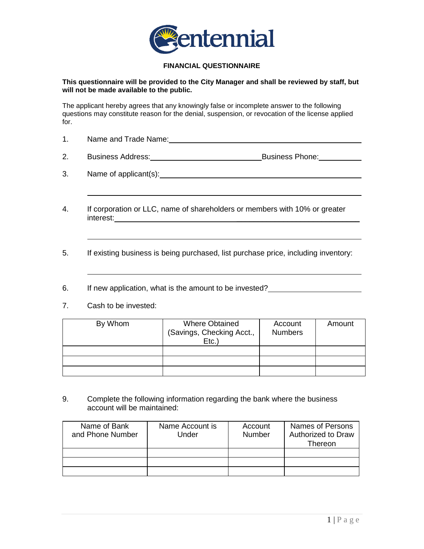

## **FINANCIAL QUESTIONNAIRE**

### **This questionnaire will be provided to the City Manager and shall be reviewed by staff, but will not be made available to the public.**

The applicant hereby agrees that any knowingly false or incomplete answer to the following questions may constitute reason for the denial, suspension, or revocation of the license applied for.

- 1. Name and Trade Name: 1. No. 1996. The Second Line of the Name of Trade Name: 1. No. 1997. The Name of Trade
- 2. Business Address: Business Phone: Business Phone:
- 3. Name of applicant(s):
- 4. If corporation or LLC, name of shareholders or members with 10% or greater interest: \_\_\_\_\_\_\_\_\_\_\_\_\_\_\_\_\_\_\_\_\_\_\_\_\_\_\_\_\_
- 5. If existing business is being purchased, list purchase price, including inventory:
- 6. If new application, what is the amount to be invested?
- 7. Cash to be invested:

| By Whom | <b>Where Obtained</b><br>(Savings, Checking Acct.,<br>EtC. | Account<br><b>Numbers</b> | Amount |
|---------|------------------------------------------------------------|---------------------------|--------|
|         |                                                            |                           |        |
|         |                                                            |                           |        |
|         |                                                            |                           |        |

9. Complete the following information regarding the bank where the business account will be maintained:

| Name of Bank<br>and Phone Number | Name Account is<br>Under | Account<br><b>Number</b> | <b>Names of Persons</b><br>Authorized to Draw<br>Thereon |
|----------------------------------|--------------------------|--------------------------|----------------------------------------------------------|
|                                  |                          |                          |                                                          |
|                                  |                          |                          |                                                          |
|                                  |                          |                          |                                                          |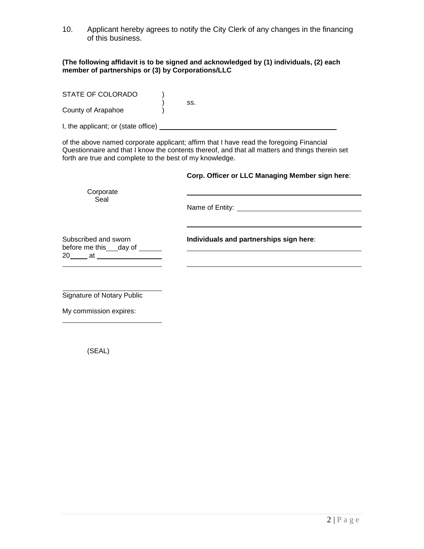10. Applicant hereby agrees to notify the City Clerk of any changes in the financing of this business.

#### **(The following affidavit is to be signed and acknowledged by (1) individuals, (2) each member of partnerships or (3) by Corporations/LLC**

| STATE OF COLORADO                   | SS. |
|-------------------------------------|-----|
| County of Arapahoe                  |     |
| I, the applicant; or (state office) |     |

of the above named corporate applicant; affirm that I have read the foregoing Financial Questionnaire and that I know the contents thereof, and that all matters and things therein set forth are true and complete to the best of my knowledge.

## **Corp. Officer or LLC Managing Member sign here**:

| Corporate<br>Seal                                                          |                                         |
|----------------------------------------------------------------------------|-----------------------------------------|
| Subscribed and sworn<br>before me this ___ day of ______<br>$20$ at $\sim$ | Individuals and partnerships sign here: |
| <b>Signature of Notary Public</b>                                          |                                         |

My commission expires:

(SEAL)